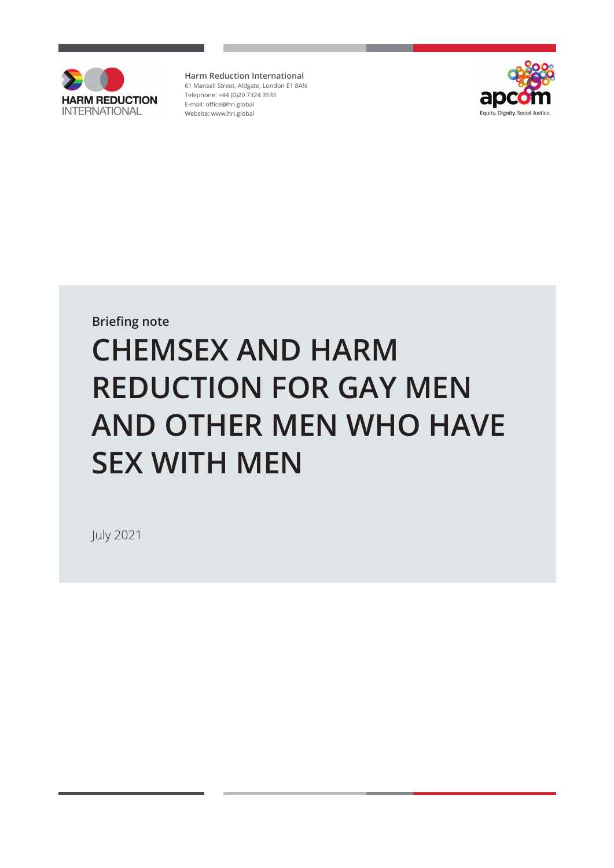

**Harm Reduction International** 61 Mansell Street, Aldgate, London E1 8AN Telephone: +44 (0)20 7324 3535 E-mail: [office@hri.global](mailto:office@hri.global) Website: www.hri.global



**Briefing note**

# **CHEMSEX AND HARM REDUCTION FOR GAY MEN AND OTHER MEN WHO HAVE SEX WITH MEN**

July 2021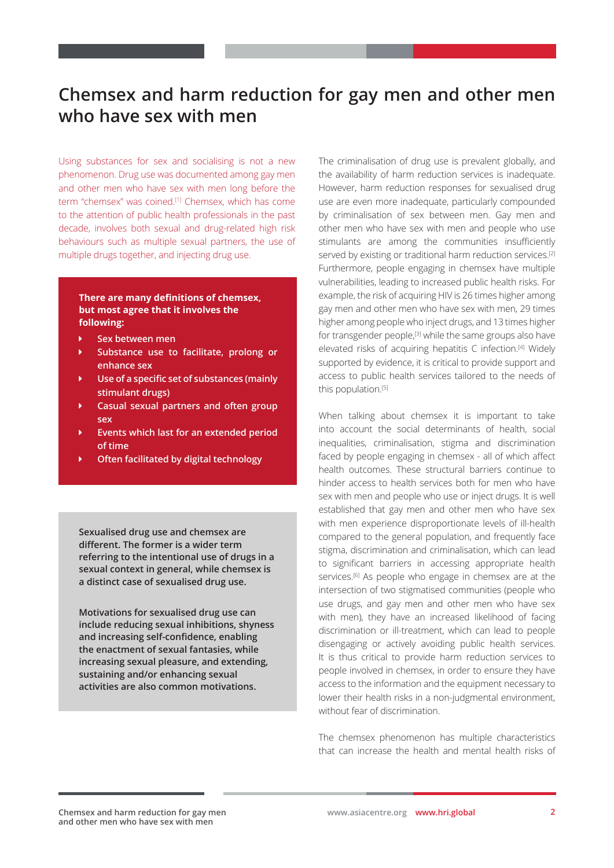# **Chemsex and harm reduction for gay men and other men who have sex with men**

Using substances for sex and socialising is not a new phenomenon. Drug use was documented among gay men and other men who have sex with men long before the term "chemsex" was coined.[1] Chemsex, which has come to the attention of public health professionals in the past decade, involves both sexual and drug-related high risk behaviours such as multiple sexual partners, the use of multiple drugs together, and injecting drug use.

#### **There are many definitions of chemsex, but most agree that it involves the following:**

- Ü **Sex between men**
- Ü **Substance use to facilitate, prolong or enhance sex**
- Ü **Use of a specific set of substances (mainly stimulant drugs)**
- Ü **Casual sexual partners and often group sex**
- Ü **Events which last for an extended period of time**
- Ü **Often facilitated by digital technology**

**Sexualised drug use and chemsex are different. The former is a wider term referring to the intentional use of drugs in a sexual context in general, while chemsex is a distinct case of sexualised drug use.**

**Motivations for sexualised drug use can include reducing sexual inhibitions, shyness and increasing self-confidence, enabling the enactment of sexual fantasies, while increasing sexual pleasure, and extending, sustaining and/or enhancing sexual activities are also common motivations.**

The criminalisation of drug use is prevalent globally, and the availability of harm reduction services is inadequate. However, harm reduction responses for sexualised drug use are even more inadequate, particularly compounded by criminalisation of sex between men. Gay men and other men who have sex with men and people who use stimulants are among the communities insufficiently served by existing or traditional harm reduction services.<sup>[2]</sup> Furthermore, people engaging in chemsex have multiple vulnerabilities, leading to increased public health risks. For example, the risk of acquiring HIV is 26 times higher among gay men and other men who have sex with men, 29 times higher among people who inject drugs, and 13 times higher for transgender people,<sup>[3]</sup> while the same groups also have elevated risks of acquiring hepatitis C infection.[4] Widely supported by evidence, it is critical to provide support and access to public health services tailored to the needs of this population.<sup>[5]</sup>

When talking about chemsex it is important to take into account the social determinants of health, social inequalities, criminalisation, stigma and discrimination faced by people engaging in chemsex - all of which affect health outcomes. These structural barriers continue to hinder access to health services both for men who have sex with men and people who use or inject drugs. It is well established that gay men and other men who have sex with men experience disproportionate levels of ill-health compared to the general population, and frequently face stigma, discrimination and criminalisation, which can lead to significant barriers in accessing appropriate health services.<sup>[6]</sup> As people who engage in chemsex are at the intersection of two stigmatised communities (people who use drugs, and gay men and other men who have sex with men), they have an increased likelihood of facing discrimination or ill-treatment, which can lead to people disengaging or actively avoiding public health services. It is thus critical to provide harm reduction services to people involved in chemsex, in order to ensure they have access to the information and the equipment necessary to lower their health risks in a non-judgmental environment, without fear of discrimination.

The chemsex phenomenon has multiple characteristics that can increase the health and mental health risks of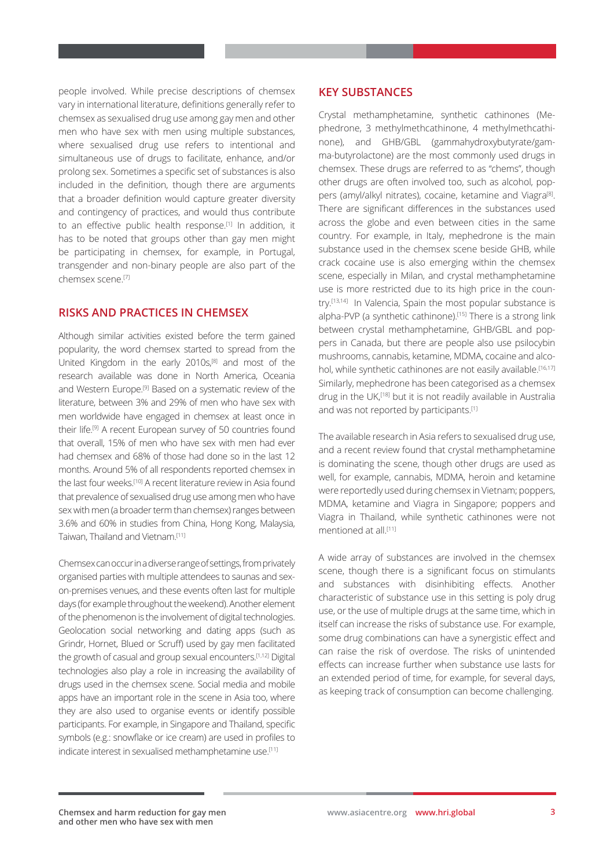people involved. While precise descriptions of chemsex vary in international literature, definitions generally refer to chemsex as sexualised drug use among gay men and other men who have sex with men using multiple substances, where sexualised drug use refers to intentional and simultaneous use of drugs to facilitate, enhance, and/or prolong sex. Sometimes a specific set of substances is also included in the definition, though there are arguments that a broader definition would capture greater diversity and contingency of practices, and would thus contribute to an effective public health response.[1] In addition, it has to be noted that groups other than gay men might be participating in chemsex, for example, in Portugal, transgender and non-binary people are also part of the chemsex scene.[7]

## **RISKS AND PRACTICES IN CHEMSEX**

Although similar activities existed before the term gained popularity, the word chemsex started to spread from the United Kingdom in the early 2010s,[8] and most of the research available was done in North America, Oceania and Western Europe.[9] Based on a systematic review of the literature, between 3% and 29% of men who have sex with men worldwide have engaged in chemsex at least once in their life.[9] A recent European survey of 50 countries found that overall, 15% of men who have sex with men had ever had chemsex and 68% of those had done so in the last 12 months. Around 5% of all respondents reported chemsex in the last four weeks.[10] A recent literature review in Asia found that prevalence of sexualised drug use among men who have sex with men (a broader term than chemsex) ranges between 3.6% and 60% in studies from China, Hong Kong, Malaysia, Taiwan, Thailand and Vietnam.[11]

Chemsex can occur in a diverse range of settings, from privately organised parties with multiple attendees to saunas and sexon-premises venues, and these events often last for multiple days (for example throughout the weekend). Another element of the phenomenon is the involvement of digital technologies. Geolocation social networking and dating apps (such as Grindr, Hornet, Blued or Scruff) used by gay men facilitated the growth of casual and group sexual encounters.[1,12] Digital technologies also play a role in increasing the availability of drugs used in the chemsex scene. Social media and mobile apps have an important role in the scene in Asia too, where they are also used to organise events or identify possible participants. For example, in Singapore and Thailand, specific symbols (e.g.: snowflake or ice cream) are used in profiles to indicate interest in sexualised methamphetamine use.<sup>[11]</sup>

## **KEY SUBSTANCES**

Crystal methamphetamine, synthetic cathinones (Mephedrone, 3 methylmethcathinone, 4 methylmethcathinone), and GHB/GBL (gammahydroxybutyrate/gamma-butyrolactone) are the most commonly used drugs in chemsex. These drugs are referred to as "chems", though other drugs are often involved too, such as alcohol, poppers (amyl/alkyl nitrates), cocaine, ketamine and Viagra<sup>[8]</sup>. There are significant differences in the substances used across the globe and even between cities in the same country. For example, in Italy, mephedrone is the main substance used in the chemsex scene beside GHB, while crack cocaine use is also emerging within the chemsex scene, especially in Milan, and crystal methamphetamine use is more restricted due to its high price in the country.[13,14] In Valencia, Spain the most popular substance is alpha-PVP (a synthetic cathinone).<sup>[15]</sup> There is a strong link between crystal methamphetamine, GHB/GBL and poppers in Canada, but there are people also use psilocybin mushrooms, cannabis, ketamine, MDMA, cocaine and alcohol, while synthetic cathinones are not easily available.<sup>[16,17]</sup> Similarly, mephedrone has been categorised as a chemsex drug in the UK,[18] but it is not readily available in Australia and was not reported by participants.[1]

The available research in Asia refers to sexualised drug use, and a recent review found that crystal methamphetamine is dominating the scene, though other drugs are used as well, for example, cannabis, MDMA, heroin and ketamine were reportedly used during chemsex in Vietnam; poppers, MDMA, ketamine and Viagra in Singapore; poppers and Viagra in Thailand, while synthetic cathinones were not mentioned at all<sup>[11]</sup>

A wide array of substances are involved in the chemsex scene, though there is a significant focus on stimulants and substances with disinhibiting effects. Another characteristic of substance use in this setting is poly drug use, or the use of multiple drugs at the same time, which in itself can increase the risks of substance use. For example, some drug combinations can have a synergistic effect and can raise the risk of overdose. The risks of unintended effects can increase further when substance use lasts for an extended period of time, for example, for several days, as keeping track of consumption can become challenging.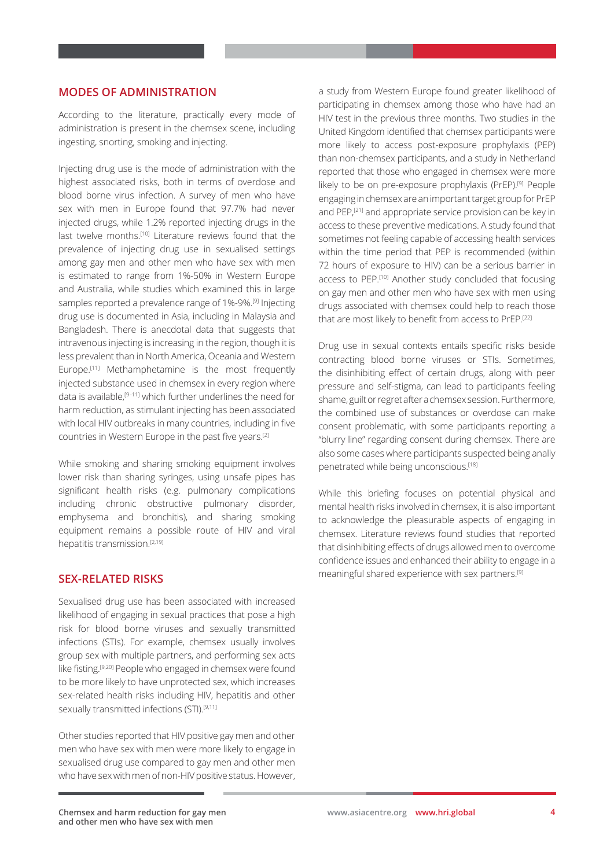## **MODES OF ADMINISTRATION**

According to the literature, practically every mode of administration is present in the chemsex scene, including ingesting, snorting, smoking and injecting.

Injecting drug use is the mode of administration with the highest associated risks, both in terms of overdose and blood borne virus infection. A survey of men who have sex with men in Europe found that 97.7% had never injected drugs, while 1.2% reported injecting drugs in the last twelve months.<sup>[10]</sup> Literature reviews found that the prevalence of injecting drug use in sexualised settings among gay men and other men who have sex with men is estimated to range from 1%-50% in Western Europe and Australia, while studies which examined this in large samples reported a prevalence range of 1%-9%.[9] Injecting drug use is documented in Asia, including in Malaysia and Bangladesh. There is anecdotal data that suggests that intravenous injecting is increasing in the region, though it is less prevalent than in North America, Oceania and Western Europe.<sup>[11]</sup> Methamphetamine is the most frequently injected substance used in chemsex in every region where data is available,[9–11] which further underlines the need for harm reduction, as stimulant injecting has been associated with local HIV outbreaks in many countries, including in five countries in Western Europe in the past five years.[2]

While smoking and sharing smoking equipment involves lower risk than sharing syringes, using unsafe pipes has significant health risks (e.g. pulmonary complications including chronic obstructive pulmonary disorder, emphysema and bronchitis), and sharing smoking equipment remains a possible route of HIV and viral hepatitis transmission.[2,19]

#### **SEX-RELATED RISKS**

Sexualised drug use has been associated with increased likelihood of engaging in sexual practices that pose a high risk for blood borne viruses and sexually transmitted infections (STIs). For example, chemsex usually involves group sex with multiple partners, and performing sex acts like fisting.[9,20] People who engaged in chemsex were found to be more likely to have unprotected sex, which increases sex-related health risks including HIV, hepatitis and other sexually transmitted infections (STI).<sup>[9,11]</sup>

Other studies reported that HIV positive gay men and other men who have sex with men were more likely to engage in sexualised drug use compared to gay men and other men who have sex with men of non-HIV positive status. However, a study from Western Europe found greater likelihood of participating in chemsex among those who have had an HIV test in the previous three months. Two studies in the United Kingdom identified that chemsex participants were more likely to access post-exposure prophylaxis (PEP) than non-chemsex participants, and a study in Netherland reported that those who engaged in chemsex were more likely to be on pre-exposure prophylaxis (PrEP).[9] People engaging in chemsex are an important target group for PrEP and PEP,<sup>[21]</sup> and appropriate service provision can be key in access to these preventive medications. A study found that sometimes not feeling capable of accessing health services within the time period that PEP is recommended (within 72 hours of exposure to HIV) can be a serious barrier in access to PEP.[10] Another study concluded that focusing on gay men and other men who have sex with men using drugs associated with chemsex could help to reach those that are most likely to benefit from access to PrEP.[22]

Drug use in sexual contexts entails specific risks beside contracting blood borne viruses or STIs. Sometimes, the disinhibiting effect of certain drugs, along with peer pressure and self-stigma, can lead to participants feeling shame, guilt or regret after a chemsex session. Furthermore, the combined use of substances or overdose can make consent problematic, with some participants reporting a "blurry line" regarding consent during chemsex. There are also some cases where participants suspected being anally penetrated while being unconscious.[18]

While this briefing focuses on potential physical and mental health risks involved in chemsex, it is also important to acknowledge the pleasurable aspects of engaging in chemsex. Literature reviews found studies that reported that disinhibiting effects of drugs allowed men to overcome confidence issues and enhanced their ability to engage in a meaningful shared experience with sex partners.[9]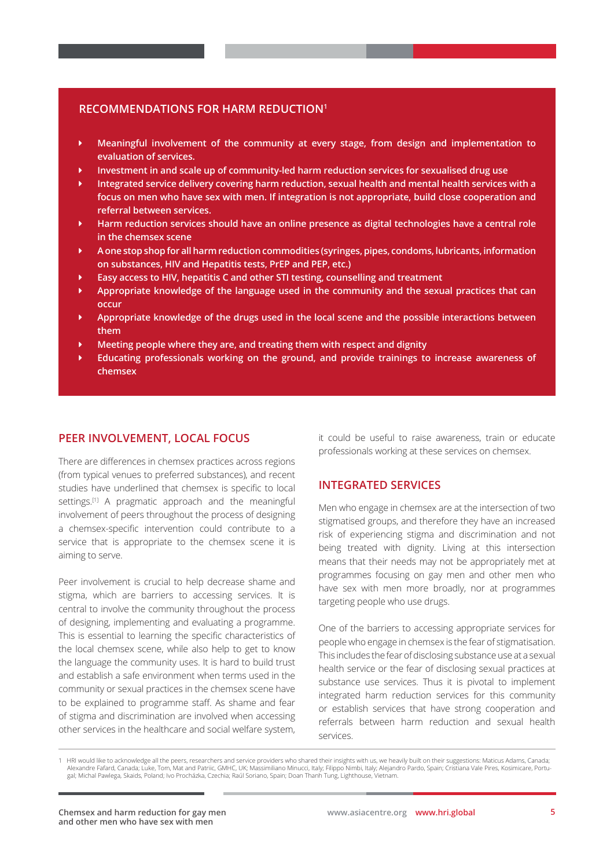#### **RECOMMENDATIONS FOR HARM REDUCTION1**

- ▶ Meaningful involvement of the community at every stage, from design and implementation to **evaluation of services.**
- Ü **Investment in and scale up of community-led harm reduction services for sexualised drug use**
- Integrated service delivery covering harm reduction, sexual health and mental health services with a **focus on men who have sex with men. If integration is not appropriate, build close cooperation and referral between services.**
- Ü **Harm reduction services should have an online presence as digital technologies have a central role in the chemsex scene**
- Ü **A one stop shop for all harm reduction commodities (syringes, pipes, condoms, lubricants, information on substances, HIV and Hepatitis tests, PrEP and PEP, etc.)**
- Ü **Easy access to HIV, hepatitis C and other STI testing, counselling and treatment**
- Ü **Appropriate knowledge of the language used in the community and the sexual practices that can occur**
- Ü **Appropriate knowledge of the drugs used in the local scene and the possible interactions between them**
- Ü **Meeting people where they are, and treating them with respect and dignity**
- Ü **Educating professionals working on the ground, and provide trainings to increase awareness of chemsex**

#### **PEER INVOLVEMENT, LOCAL FOCUS**

There are differences in chemsex practices across regions (from typical venues to preferred substances), and recent studies have underlined that chemsex is specific to local settings.<sup>[1]</sup> A pragmatic approach and the meaningful involvement of peers throughout the process of designing a chemsex-specific intervention could contribute to a service that is appropriate to the chemsex scene it is aiming to serve.

Peer involvement is crucial to help decrease shame and stigma, which are barriers to accessing services. It is central to involve the community throughout the process of designing, implementing and evaluating a programme. This is essential to learning the specific characteristics of the local chemsex scene, while also help to get to know the language the community uses. It is hard to build trust and establish a safe environment when terms used in the community or sexual practices in the chemsex scene have to be explained to programme staff. As shame and fear of stigma and discrimination are involved when accessing other services in the healthcare and social welfare system, it could be useful to raise awareness, train or educate professionals working at these services on chemsex.

## **INTEGRATED SERVICES**

Men who engage in chemsex are at the intersection of two stigmatised groups, and therefore they have an increased risk of experiencing stigma and discrimination and not being treated with dignity. Living at this intersection means that their needs may not be appropriately met at programmes focusing on gay men and other men who have sex with men more broadly, nor at programmes targeting people who use drugs.

One of the barriers to accessing appropriate services for people who engage in chemsex is the fear of stigmatisation. This includes the fear of disclosing substance use at a sexual health service or the fear of disclosing sexual practices at substance use services. Thus it is pivotal to implement integrated harm reduction services for this community or establish services that have strong cooperation and referrals between harm reduction and sexual health services.

<sup>1</sup> HRI would like to acknowledge all the peers, researchers and service providers who shared their insights with us, we heavily built on their suggestions: Maticus Adams, Canada; Alexandre Fafard, Canada; Luke, Tom, Mat and Patriic, GMHC, UK; Massimiliano Minucci, Italy; Filippo Nimbi, Italy; Alejandro Pardo, Spain; Cristiana Vale Pires, Kosimicare, Portu-<br>gal; Michal Pawlega, Skaids, Poland; Ivo P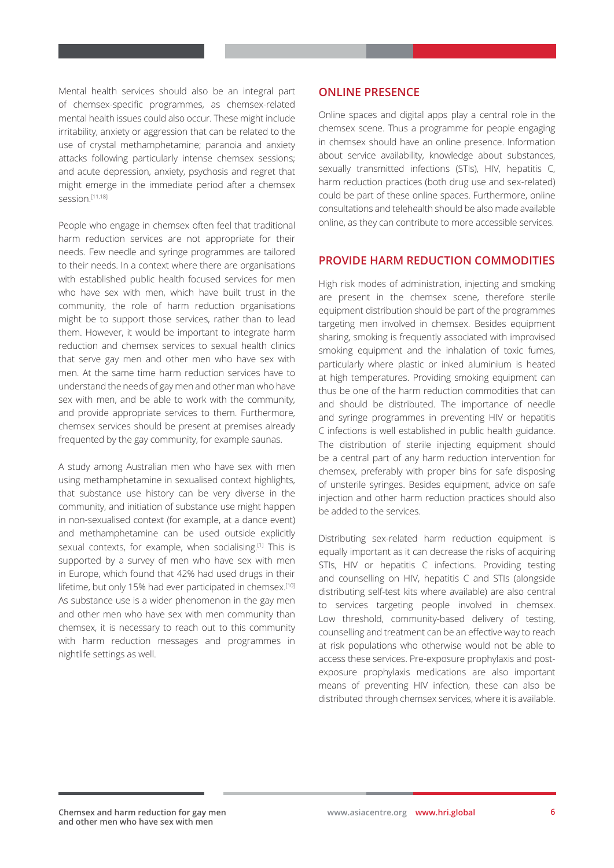Mental health services should also be an integral part of chemsex-specific programmes, as chemsex-related mental health issues could also occur. These might include irritability, anxiety or aggression that can be related to the use of crystal methamphetamine; paranoia and anxiety attacks following particularly intense chemsex sessions; and acute depression, anxiety, psychosis and regret that might emerge in the immediate period after a chemsex session.[11,18]

People who engage in chemsex often feel that traditional harm reduction services are not appropriate for their needs. Few needle and syringe programmes are tailored to their needs. In a context where there are organisations with established public health focused services for men who have sex with men, which have built trust in the community, the role of harm reduction organisations might be to support those services, rather than to lead them. However, it would be important to integrate harm reduction and chemsex services to sexual health clinics that serve gay men and other men who have sex with men. At the same time harm reduction services have to understand the needs of gay men and other man who have sex with men, and be able to work with the community, and provide appropriate services to them. Furthermore, chemsex services should be present at premises already frequented by the gay community, for example saunas.

A study among Australian men who have sex with men using methamphetamine in sexualised context highlights, that substance use history can be very diverse in the community, and initiation of substance use might happen in non-sexualised context (for example, at a dance event) and methamphetamine can be used outside explicitly sexual contexts, for example, when socialising.<sup>[1]</sup> This is supported by a survey of men who have sex with men in Europe, which found that 42% had used drugs in their lifetime, but only 15% had ever participated in chemsex.<sup>[10]</sup> As substance use is a wider phenomenon in the gay men and other men who have sex with men community than chemsex, it is necessary to reach out to this community with harm reduction messages and programmes in nightlife settings as well.

#### **ONLINE PRESENCE**

Online spaces and digital apps play a central role in the chemsex scene. Thus a programme for people engaging in chemsex should have an online presence. Information about service availability, knowledge about substances, sexually transmitted infections (STIs), HIV, hepatitis C, harm reduction practices (both drug use and sex-related) could be part of these online spaces. Furthermore, online consultations and telehealth should be also made available online, as they can contribute to more accessible services.

#### **PROVIDE HARM REDUCTION COMMODITIES**

High risk modes of administration, injecting and smoking are present in the chemsex scene, therefore sterile equipment distribution should be part of the programmes targeting men involved in chemsex. Besides equipment sharing, smoking is frequently associated with improvised smoking equipment and the inhalation of toxic fumes, particularly where plastic or inked aluminium is heated at high temperatures. Providing smoking equipment can thus be one of the harm reduction commodities that can and should be distributed. The importance of needle and syringe programmes in preventing HIV or hepatitis C infections is well established in public health guidance. The distribution of sterile injecting equipment should be a central part of any harm reduction intervention for chemsex, preferably with proper bins for safe disposing of unsterile syringes. Besides equipment, advice on safe injection and other harm reduction practices should also be added to the services.

Distributing sex-related harm reduction equipment is equally important as it can decrease the risks of acquiring STIs, HIV or hepatitis C infections. Providing testing and counselling on HIV, hepatitis C and STIs (alongside distributing self-test kits where available) are also central to services targeting people involved in chemsex. Low threshold, community-based delivery of testing, counselling and treatment can be an effective way to reach at risk populations who otherwise would not be able to access these services. Pre-exposure prophylaxis and postexposure prophylaxis medications are also important means of preventing HIV infection, these can also be distributed through chemsex services, where it is available.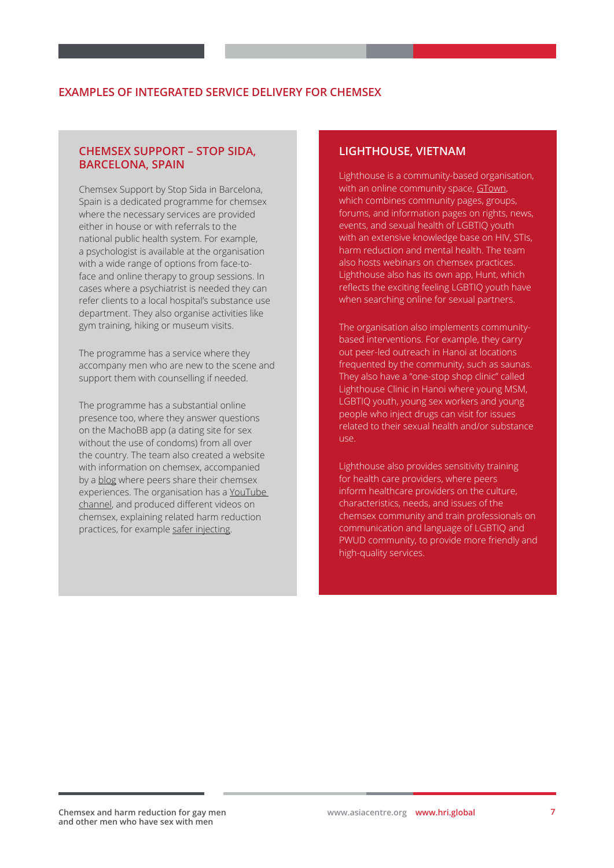#### **EXAMPLES OF INTEGRATED SERVICE DELIVERY FOR CHEMSEX**

#### **CHEMSEX SUPPORT – STOP SIDA, BARCELONA, SPAIN**

Chemsex Support by Stop Sida in Barcelona, Spain is a dedicated programme for chemsex where the necessary services are provided either in house or with referrals to the national public health system. For example, a psychologist is available at the organisation with a wide range of options from face-toface and online therapy to group sessions. In cases where a psychiatrist is needed they can refer clients to a local hospital's substance use department. They also organise activities like gym training, hiking or museum visits.

The programme has a service where they accompany men who are new to the scene and support them with counselling if needed.

The programme has a substantial online presence too, where they answer questions on the MachoBB app (a dating site for sex without the use of condoms) from all over the country. The team also created a website with information on chemsex, accompanied by a [blog](https://chemsex.info/chemical-bloggers/) where peers share their chemsex experiences. The organisation has a [YouTube](https://www.youtube.com/channel/UCksaJT7JTDfJRWOqTUVx7bg)  [channel](https://www.youtube.com/channel/UCksaJT7JTDfJRWOqTUVx7bg), and produced different videos on chemsex, explaining related harm reduction practices, for example [safer injecting](https://youtu.be/n9f92enFA4Y).

#### **LIGHTHOUSE, VIETNAM**

Lighthouse is a community-based organisation, with an online community space, [GTown,](http://gtown.vn/) which combines community pages, groups, forums, and information pages on rights, news, events, and sexual health of LGBTIQ youth with an extensive knowledge base on HIV, STIs, harm reduction and mental health. The team also hosts webinars on chemsex practices. Lighthouse also has its own app, Hunt, which reflects the exciting feeling LGBTIQ youth have when searching online for sexual partners.

The organisation also implements communitybased interventions. For example, they carry out peer-led outreach in Hanoi at locations frequented by the community, such as saunas. They also have a "one-stop shop clinic" called Lighthouse Clinic in Hanoi where young MSM, LGBTIQ youth, young sex workers and young people who inject drugs can visit for issues related to their sexual health and/or substance use.

Lighthouse also provides sensitivity training for health care providers, where peers inform healthcare providers on the culture, characteristics, needs, and issues of the chemsex community and train professionals on communication and language of LGBTIQ and PWUD community, to provide more friendly and high-quality services.